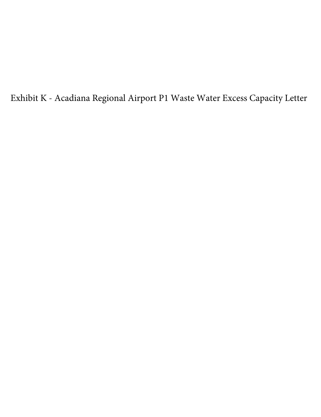Exhibit K - Acadiana Regional Airport P1 Waste Water Excess Capacity Letter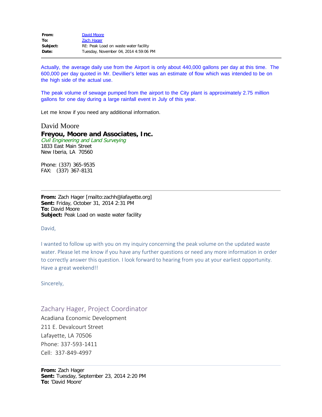| From:    | David Moore                           |
|----------|---------------------------------------|
| To:      | Zach Hager                            |
| Subject: | RE: Peak Load on waste water facility |
| Date:    | Tuesday, November 04, 2014 4:59:06 PM |

Actually, the average daily use from the Airport is only about 440,000 gallons per day at this time. The 600,000 per day quoted in Mr. Devillier's letter was an estimate of flow which was intended to be on the high side of the actual use.

The peak volume of sewage pumped from the airport to the City plant is approximately 2.75 million gallons for one day during a large rainfall event in July of this year.

Let me know if you need any additional information.

David Moore

## **Freyou, Moore and Associates, Inc.**

Civil Engineering and Land Surveying 1833 East Main Street New Iberia, LA 70560

Phone: (337) 365-9535 FAX: (337) 367-8131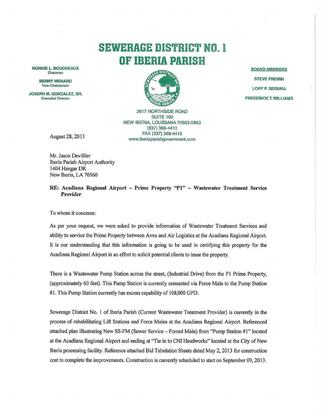## **SEWERAGE DISTRICT NO. I** OF IBERIA PARISH

**RONNIE L. BOUDREAUX** Chairman

> **BENNY MENARD** Vice-Chairperson

JOSEPH M. GONZALEZ, SR. **Executive Director** 



**2617 NORTHSIDE ROAD SUITE 100** NEW IBERIA, LOUISIANA 70563-0953  $(337) 369 - 4413$ FAX (337) 369-4419 www.iberiaparishgovernment.com

August 28, 2013

Mr. Jason Devillier Iberia Parish Airport Authority 1404 Hangar DR New Iberia, LA 70560

RE: Acadiana Regional Airport - Prime Property "P1" - Wastewater Treatment Service Provider

To whom it concerns:

As per your request, we were asked to provide information of Wastewater Treatment Services and ability to service the Prime Property between Avex and Air Logistics at the Acadiana Regional Airport. It is our understanding that this information is going to be used in certifying this property for the Acadiana Regional Airport in an effort to solicit potential clients to lease the property.

There is a Wastewater Pump Station across the street, (Industrial Drive) from the P1 Prime Property, (approximately 60 feet). This Pump Station is currently connected via Force Main to the Pump Station #1. This Pump Station currently has excess capability of 108,000 GPD.

Sewerage District No. 1 of Iberia Parish (Current Wastewater Treatment Provider) is currently in the process of rehabilitating Lift Stations and Force Mains at the Acadiana Regional Airport. Referenced attached plan illustrating New SS-FM (Sewer Service - Forced Main) from "Pump Station #1" located at the Acadiana Regional Airport and ending at "Tie in to CNI Headworks" located at the City of New Iberia processing facility. Reference attached Bid Tabulation Sheets dated May 2, 2013 for construction cost to complete the improvements. Construction is currently scheduled to start on September 09, 2013.

**BOARD MEMBERS STEVE FREMIN LORY P. SEGURA FREDERICK T. WILLIAMS**